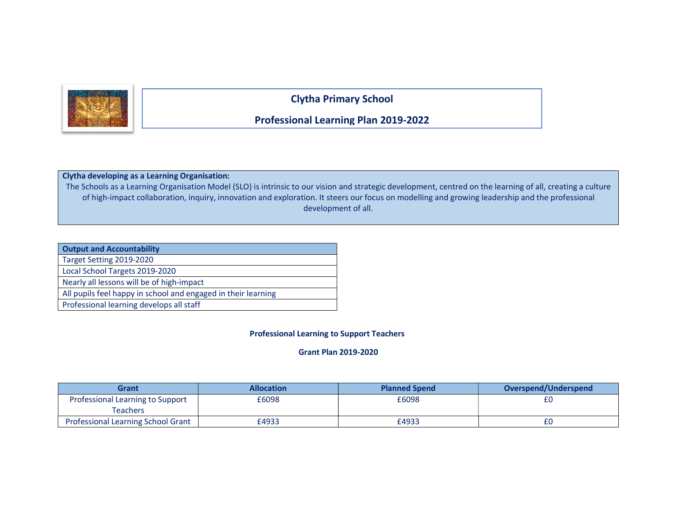

Clytha Primary School

## Professional Learning Plan 2019-2022

## Clytha developing as a Learning Organisation:

The Schools as a Learning Organisation Model (SLO) is intrinsic to our vision and strategic development, centred on the learning of all, creating a culture of high-impact collaboration, inquiry, innovation and exploration. It steers our focus on modelling and growing leadership and the professional development of all.

| <b>Output and Accountability</b>                              |
|---------------------------------------------------------------|
| Target Setting 2019-2020                                      |
| Local School Targets 2019-2020                                |
| Nearly all lessons will be of high-impact                     |
| All pupils feel happy in school and engaged in their learning |
| Professional learning develops all staff                      |

## Professional Learning to Support Teachers

## Grant Plan 2019-2020

| Grant                                     | <b>Allocation</b> | <b>Planned Spend</b> | Overspend/Underspend |
|-------------------------------------------|-------------------|----------------------|----------------------|
| Professional Learning to Support          | £6098             | £6098                |                      |
| Teachers                                  |                   |                      |                      |
| <b>Professional Learning School Grant</b> | £4933             | £4933                |                      |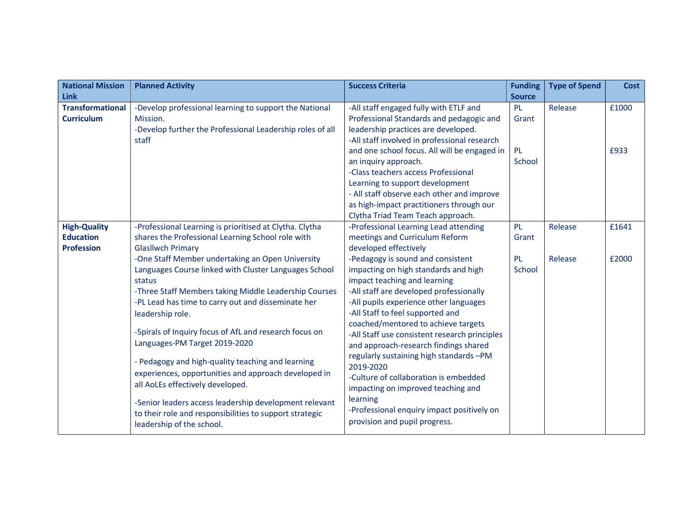| <b>National Mission</b> | <b>Planned Activity</b>                                   | <b>Success Criteria</b>                       | <b>Funding</b> | <b>Type of Spend</b> | <b>Cost</b> |
|-------------------------|-----------------------------------------------------------|-----------------------------------------------|----------------|----------------------|-------------|
| <b>Link</b>             |                                                           |                                               | <b>Source</b>  |                      |             |
| <b>Transformational</b> | -Develop professional learning to support the National    | -All staff engaged fully with ETLF and        | <b>PL</b>      | Release              | £1000       |
| <b>Curriculum</b>       | Mission.                                                  | Professional Standards and pedagogic and      | Grant          |                      |             |
|                         | -Develop further the Professional Leadership roles of all | leadership practices are developed.           |                |                      |             |
|                         | staff                                                     | -All staff involved in professional research  |                |                      |             |
|                         |                                                           | and one school focus. All will be engaged in  | <b>PL</b>      |                      | £933        |
|                         |                                                           | an inquiry approach.                          | School         |                      |             |
|                         |                                                           | -Class teachers access Professional           |                |                      |             |
|                         |                                                           | Learning to support development               |                |                      |             |
|                         |                                                           | - All staff observe each other and improve    |                |                      |             |
|                         |                                                           | as high-impact practitioners through our      |                |                      |             |
|                         |                                                           | Clytha Triad Team Teach approach.             |                |                      |             |
| <b>High-Quality</b>     | -Professional Learning is prioritised at Clytha. Clytha   | -Professional Learning Lead attending         | <b>PL</b>      | Release              | £1641       |
| <b>Education</b>        | shares the Professional Learning School role with         | meetings and Curriculum Reform                | Grant          |                      |             |
| <b>Profession</b>       | <b>Glasllwch Primary</b>                                  | developed effectively                         |                |                      |             |
|                         | -One Staff Member undertaking an Open University          | -Pedagogy is sound and consistent             | PL             | Release              | £2000       |
|                         | Languages Course linked with Cluster Languages School     | impacting on high standards and high          | School         |                      |             |
|                         | status                                                    | impact teaching and learning                  |                |                      |             |
|                         | -Three Staff Members taking Middle Leadership Courses     | -All staff are developed professionally       |                |                      |             |
|                         | -PL Lead has time to carry out and disseminate her        | -All pupils experience other languages        |                |                      |             |
|                         | leadership role.                                          | -All Staff to feel supported and              |                |                      |             |
|                         |                                                           | coached/mentored to achieve targets           |                |                      |             |
|                         | -Spirals of Inquiry focus of AfL and research focus on    | -All Staff use consistent research principles |                |                      |             |
|                         | Languages-PM Target 2019-2020                             | and approach-research findings shared         |                |                      |             |
|                         | - Pedagogy and high-quality teaching and learning         | regularly sustaining high standards -PM       |                |                      |             |
|                         | experiences, opportunities and approach developed in      | 2019-2020                                     |                |                      |             |
|                         |                                                           | -Culture of collaboration is embedded         |                |                      |             |
|                         | all AoLEs effectively developed.                          | impacting on improved teaching and            |                |                      |             |
|                         | -Senior leaders access leadership development relevant    | learning                                      |                |                      |             |
|                         | to their role and responsibilities to support strategic   | -Professional enquiry impact positively on    |                |                      |             |
|                         | leadership of the school.                                 | provision and pupil progress.                 |                |                      |             |
|                         |                                                           |                                               |                |                      |             |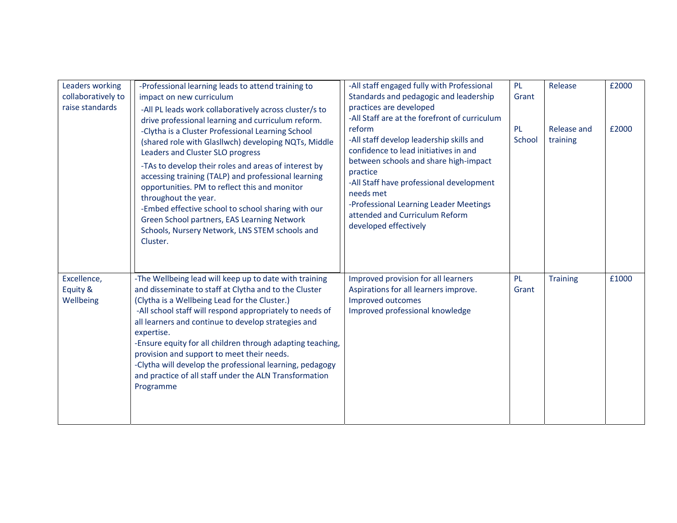| Leaders working<br>collaboratively to<br>raise standards | -Professional learning leads to attend training to<br>impact on new curriculum<br>-All PL leads work collaboratively across cluster/s to<br>drive professional learning and curriculum reform.<br>-Clytha is a Cluster Professional Learning School<br>(shared role with Glasllwch) developing NQTs, Middle<br>Leaders and Cluster SLO progress<br>-TAs to develop their roles and areas of interest by<br>accessing training (TALP) and professional learning<br>opportunities. PM to reflect this and monitor<br>throughout the year.<br>-Embed effective school to school sharing with our<br>Green School partners, EAS Learning Network<br>Schools, Nursery Network, LNS STEM schools and<br>Cluster. | -All staff engaged fully with Professional<br>Standards and pedagogic and leadership<br>practices are developed<br>-All Staff are at the forefront of curriculum<br>reform<br>-All staff develop leadership skills and<br>confidence to lead initiatives in and<br>between schools and share high-impact<br>practice<br>-All Staff have professional development<br>needs met<br>-Professional Learning Leader Meetings<br>attended and Curriculum Reform<br>developed effectively | <b>PL</b><br>Grant<br>PL<br>School | Release<br>Release and<br>training | £2000<br>£2000 |
|----------------------------------------------------------|------------------------------------------------------------------------------------------------------------------------------------------------------------------------------------------------------------------------------------------------------------------------------------------------------------------------------------------------------------------------------------------------------------------------------------------------------------------------------------------------------------------------------------------------------------------------------------------------------------------------------------------------------------------------------------------------------------|------------------------------------------------------------------------------------------------------------------------------------------------------------------------------------------------------------------------------------------------------------------------------------------------------------------------------------------------------------------------------------------------------------------------------------------------------------------------------------|------------------------------------|------------------------------------|----------------|
| Excellence,<br>Equity &<br>Wellbeing                     | -The Wellbeing lead will keep up to date with training<br>and disseminate to staff at Clytha and to the Cluster<br>(Clytha is a Wellbeing Lead for the Cluster.)<br>-All school staff will respond appropriately to needs of<br>all learners and continue to develop strategies and<br>expertise.<br>-Ensure equity for all children through adapting teaching,<br>provision and support to meet their needs.<br>-Clytha will develop the professional learning, pedagogy<br>and practice of all staff under the ALN Transformation<br>Programme                                                                                                                                                           | Improved provision for all learners<br>Aspirations for all learners improve.<br>Improved outcomes<br>Improved professional knowledge                                                                                                                                                                                                                                                                                                                                               | PL<br>Grant                        | <b>Training</b>                    | £1000          |